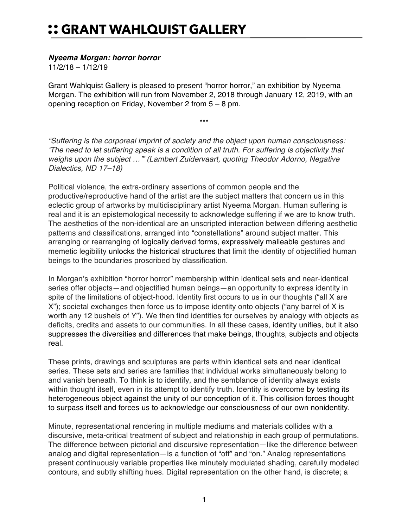## :: GRANT WAHLQUIST GALLERY

## *Nyeema Morgan: horror horror*

11/2/18 – 1/12/19

Grant Wahlquist Gallery is pleased to present "horror horror," an exhibition by Nyeema Morgan. The exhibition will run from November 2, 2018 through January 12, 2019, with an opening reception on Friday, November 2 from 5 – 8 pm.

\*\*\*

*"Suffering is the corporeal imprint of society and the object upon human consciousness: 'The need to let suffering speak is a condition of all truth. For suffering is objectivity that weighs upon the subject …'" (Lambert Zuidervaart, quoting Theodor Adorno, Negative Dialectics, ND 17–18)*

Political violence, the extra-ordinary assertions of common people and the productive/reproductive hand of the artist are the subject matters that concern us in this eclectic group of artworks by multidisciplinary artist Nyeema Morgan. Human suffering is real and it is an epistemological necessity to acknowledge suffering if we are to know truth. The aesthetics of the non-identical are an unscripted interaction between differing aesthetic patterns and classifications, arranged into "constellations" around subject matter. This arranging or rearranging of logically derived forms, expressively malleable gestures and memetic legibility unlocks the historical structures that limit the identity of objectified human beings to the boundaries proscribed by classification.

In Morgan's exhibition "horror horror" membership within identical sets and near-identical series offer objects—and objectified human beings—an opportunity to express identity in spite of the limitations of object-hood. Identity first occurs to us in our thoughts ("all X are X"); societal exchanges then force us to impose identity onto objects ("any barrel of X is worth any 12 bushels of Y"). We then find identities for ourselves by analogy with objects as deficits, credits and assets to our communities. In all these cases, identity unifies, but it also suppresses the diversities and differences that make beings, thoughts, subjects and objects real.

These prints, drawings and sculptures are parts within identical sets and near identical series. These sets and series are families that individual works simultaneously belong to and vanish beneath. To think is to identify, and the semblance of identity always exists within thought itself, even in its attempt to identify truth. Identity is overcome by testing its heterogeneous object against the unity of our conception of it. This collision forces thought to surpass itself and forces us to acknowledge our consciousness of our own nonidentity.

Minute, representational rendering in multiple mediums and materials collides with a discursive, meta-critical treatment of subject and relationship in each group of permutations. The difference between pictorial and discursive representation—like the difference between analog and digital representation—is a function of "off" and "on." Analog representations present continuously variable properties like minutely modulated shading, carefully modeled contours, and subtly shifting hues. Digital representation on the other hand, is discrete; a